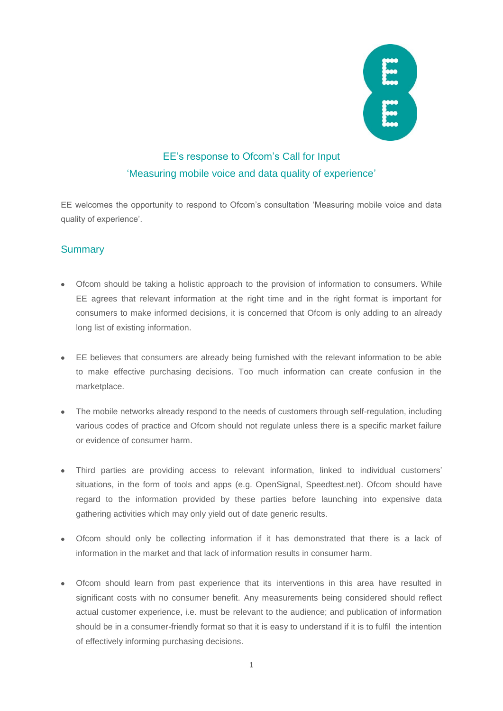

# EE's response to Ofcom's Call for Input 'Measuring mobile voice and data quality of experience'

EE welcomes the opportunity to respond to Ofcom's consultation 'Measuring mobile voice and data quality of experience'.

# **Summary**

- Ofcom should be taking a holistic approach to the provision of information to consumers. While EE agrees that relevant information at the right time and in the right format is important for consumers to make informed decisions, it is concerned that Ofcom is only adding to an already long list of existing information.
- EE believes that consumers are already being furnished with the relevant information to be able to make effective purchasing decisions. Too much information can create confusion in the marketplace.
- The mobile networks already respond to the needs of customers through self-regulation, including various codes of practice and Ofcom should not regulate unless there is a specific market failure or evidence of consumer harm.
- Third parties are providing access to relevant information, linked to individual customers' situations, in the form of tools and apps (e.g. OpenSignal, Speedtest.net). Ofcom should have regard to the information provided by these parties before launching into expensive data gathering activities which may only yield out of date generic results.
- Ofcom should only be collecting information if it has demonstrated that there is a lack of information in the market and that lack of information results in consumer harm.
- Ofcom should learn from past experience that its interventions in this area have resulted in significant costs with no consumer benefit. Any measurements being considered should reflect actual customer experience, i.e. must be relevant to the audience; and publication of information should be in a consumer-friendly format so that it is easy to understand if it is to fulfil the intention of effectively informing purchasing decisions.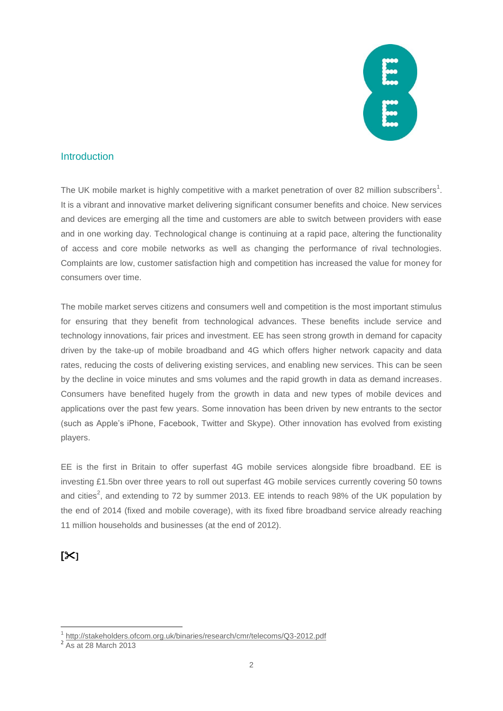

### **Introduction**

The UK mobile market is highly competitive with a market penetration of over 82 million subscribers<sup>1</sup>. It is a vibrant and innovative market delivering significant consumer benefits and choice. New services and devices are emerging all the time and customers are able to switch between providers with ease and in one working day. Technological change is continuing at a rapid pace, altering the functionality of access and core mobile networks as well as changing the performance of rival technologies. Complaints are low, customer satisfaction high and competition has increased the value for money for consumers over time.

The mobile market serves citizens and consumers well and competition is the most important stimulus for ensuring that they benefit from technological advances. These benefits include service and technology innovations, fair prices and investment. EE has seen strong growth in demand for capacity driven by the take-up of mobile broadband and 4G which offers higher network capacity and data rates, reducing the costs of delivering existing services, and enabling new services. This can be seen by the decline in voice minutes and sms volumes and the rapid growth in data as demand increases. Consumers have benefited hugely from the growth in data and new types of mobile devices and applications over the past few years. Some innovation has been driven by new entrants to the sector (such as Apple's iPhone, Facebook, Twitter and Skype). Other innovation has evolved from existing players.

EE is the first in Britain to offer superfast 4G mobile services alongside fibre broadband. EE is investing £1.5bn over three years to roll out superfast 4G mobile services currently covering 50 towns and cities<sup>2</sup>, and extending to 72 by summer 2013. EE intends to reach 98% of the UK population by the end of 2014 (fixed and mobile coverage), with its fixed fibre broadband service already reaching 11 million households and businesses (at the end of 2012).

# **[]**

<sup>1&</sup>lt;br>1 <http://stakeholders.ofcom.org.uk/binaries/research/cmr/telecoms/Q3-2012.pdf><br><sup>2</sup> As at 28 March 2013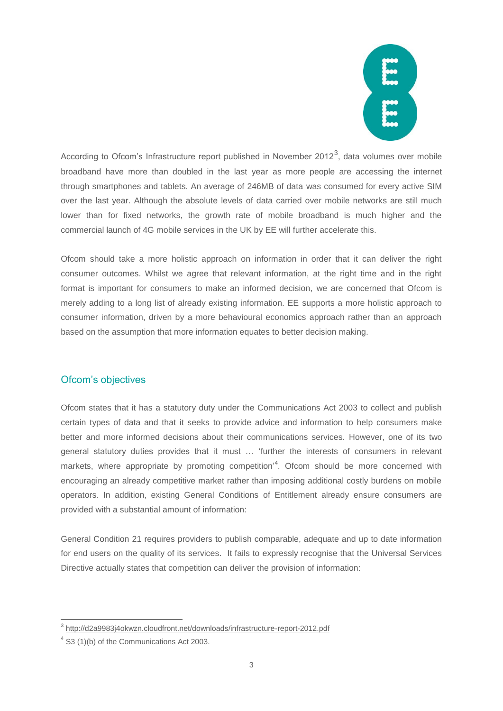

According to Ofcom's Infrastructure report published in November 2012<sup>3</sup>, data volumes over mobile broadband have more than doubled in the last year as more people are accessing the internet through smartphones and tablets. An average of 246MB of data was consumed for every active SIM over the last year. Although the absolute levels of data carried over mobile networks are still much lower than for fixed networks, the growth rate of mobile broadband is much higher and the commercial launch of 4G mobile services in the UK by EE will further accelerate this.

Ofcom should take a more holistic approach on information in order that it can deliver the right consumer outcomes. Whilst we agree that relevant information, at the right time and in the right format is important for consumers to make an informed decision, we are concerned that Ofcom is merely adding to a long list of already existing information. EE supports a more holistic approach to consumer information, driven by a more behavioural economics approach rather than an approach based on the assumption that more information equates to better decision making.

# Ofcom's objectives

Ofcom states that it has a statutory duty under the Communications Act 2003 to collect and publish certain types of data and that it seeks to provide advice and information to help consumers make better and more informed decisions about their communications services. However, one of its two general statutory duties provides that it must … 'further the interests of consumers in relevant markets, where appropriate by promoting competition<sup>14</sup>. Ofcom should be more concerned with encouraging an already competitive market rather than imposing additional costly burdens on mobile operators. In addition, existing General Conditions of Entitlement already ensure consumers are provided with a substantial amount of information:

General Condition 21 requires providers to publish comparable, adequate and up to date information for end users on the quality of its services. It fails to expressly recognise that the Universal Services Directive actually states that competition can deliver the provision of information:

 3 <http://d2a9983j4okwzn.cloudfront.net/downloads/infrastructure-report-2012.pdf>

 $4$  S3 (1)(b) of the Communications Act 2003.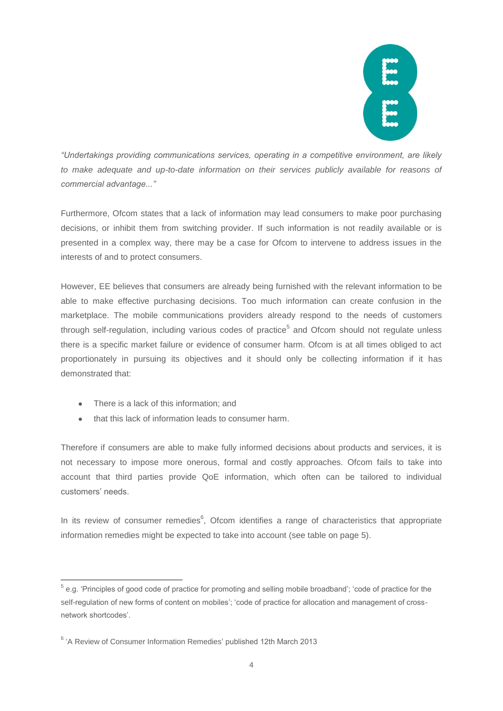

*"Undertakings providing communications services, operating in a competitive environment, are likely to make adequate and up-to-date information on their services publicly available for reasons of commercial advantage..."* 

Furthermore, Ofcom states that a lack of information may lead consumers to make poor purchasing decisions, or inhibit them from switching provider. If such information is not readily available or is presented in a complex way, there may be a case for Ofcom to intervene to address issues in the interests of and to protect consumers.

However, EE believes that consumers are already being furnished with the relevant information to be able to make effective purchasing decisions. Too much information can create confusion in the marketplace. The mobile communications providers already respond to the needs of customers through self-regulation, including various codes of practice<sup>5</sup> and Ofcom should not regulate unless there is a specific market failure or evidence of consumer harm. Ofcom is at all times obliged to act proportionately in pursuing its objectives and it should only be collecting information if it has demonstrated that:

- There is a lack of this information: and
- that this lack of information leads to consumer harm.

Therefore if consumers are able to make fully informed decisions about products and services, it is not necessary to impose more onerous, formal and costly approaches. Ofcom fails to take into account that third parties provide QoE information, which often can be tailored to individual customers' needs.

In its review of consumer remedies $6$ , Ofcom identifies a range of characteristics that appropriate information remedies might be expected to take into account (see table on page 5).

<sup>1</sup> <sup>5</sup> e.g. 'Principles of good code of practice for promoting and selling mobile broadband'; 'code of practice for the self-regulation of new forms of content on mobiles'; 'code of practice for allocation and management of crossnetwork shortcodes'.

<sup>&</sup>lt;sup>6</sup> 'A Review of Consumer Information Remedies' published 12th March 2013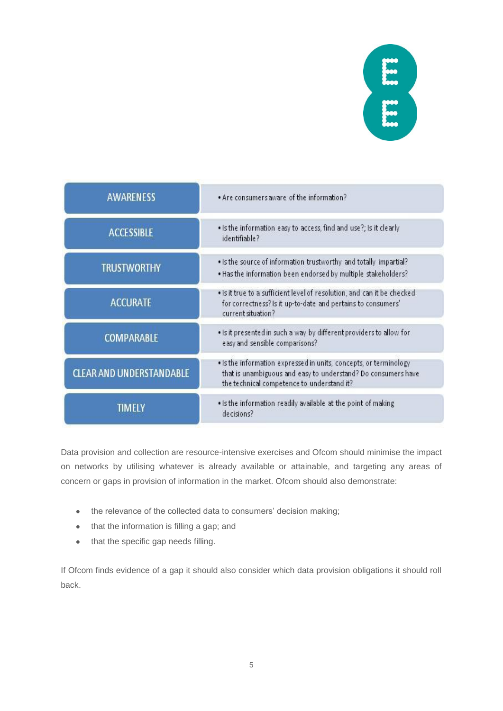# EI EI

| <b>AWARENESS</b>                | . Are consumers aware of the information?                                                                                                                                        |
|---------------------------------|----------------------------------------------------------------------------------------------------------------------------------------------------------------------------------|
| <b>ACCESSIBLE</b>               | . Is the information easy to access, find and use?; Is it clearly<br>identifiable?                                                                                               |
| <b>TRUSTWORTHY</b>              | . Is the source of information trustworthy and totally impartial?<br>. Has the information been endorsed by multiple stakeholders?                                               |
| <b>ACCURATE</b>                 | . Is it true to a sufficient level of resolution, and can it be checked<br>for correctness? Is it up-to-date and pertains to consumers'<br>current situation?                    |
| <b>COMPARABLE</b>               | . Is it presented in such a way by different providers to allow for<br>easy and sensible comparisons?                                                                            |
| <b>CLEAR AND UNDERSTANDABLE</b> | . Is the information expressed in units, concepts, or terminology<br>that is unambiguous and easy to understand? Do consumers have<br>the technical competence to understand it? |
| TIMFI Y                         | . Is the information readily available at the point of making<br>decisions?                                                                                                      |

Data provision and collection are resource-intensive exercises and Ofcom should minimise the impact on networks by utilising whatever is already available or attainable, and targeting any areas of concern or gaps in provision of information in the market. Ofcom should also demonstrate:

- the relevance of the collected data to consumers' decision making;
- that the information is filling a gap; and
- that the specific gap needs filling.

If Ofcom finds evidence of a gap it should also consider which data provision obligations it should roll back.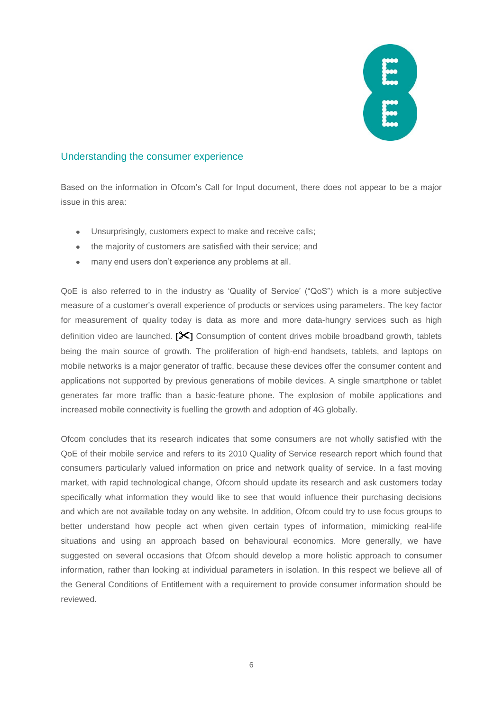

#### Understanding the consumer experience

Based on the information in Ofcom's Call for Input document, there does not appear to be a major issue in this area:

- Unsurprisingly, customers expect to make and receive calls;
- the majority of customers are satisfied with their service; and
- $\bullet$ many end users don't experience any problems at all.

QoE is also referred to in the industry as 'Quality of Service' ("QoS") which is a more subjective measure of a customer's overall experience of products or services using parameters. The key factor for measurement of quality today is data as more and more data-hungry services such as high definition video are launched. **[]** Consumption of content drives mobile broadband growth, tablets being the main source of growth. The proliferation of high-end handsets, tablets, and laptops on mobile networks is a major generator of traffic, because these devices offer the consumer content and applications not supported by previous generations of mobile devices. A single smartphone or tablet generates far more traffic than a basic-feature phone. The explosion of mobile applications and increased mobile connectivity is fuelling the growth and adoption of 4G globally.

Ofcom concludes that its research indicates that some consumers are not wholly satisfied with the QoE of their mobile service and refers to its 2010 Quality of Service research report which found that consumers particularly valued information on price and network quality of service. In a fast moving market, with rapid technological change, Ofcom should update its research and ask customers today specifically what information they would like to see that would influence their purchasing decisions and which are not available today on any website. In addition, Ofcom could try to use focus groups to better understand how people act when given certain types of information, mimicking real-life situations and using an approach based on behavioural economics. More generally, we have suggested on several occasions that Ofcom should develop a more holistic approach to consumer information, rather than looking at individual parameters in isolation. In this respect we believe all of the General Conditions of Entitlement with a requirement to provide consumer information should be reviewed.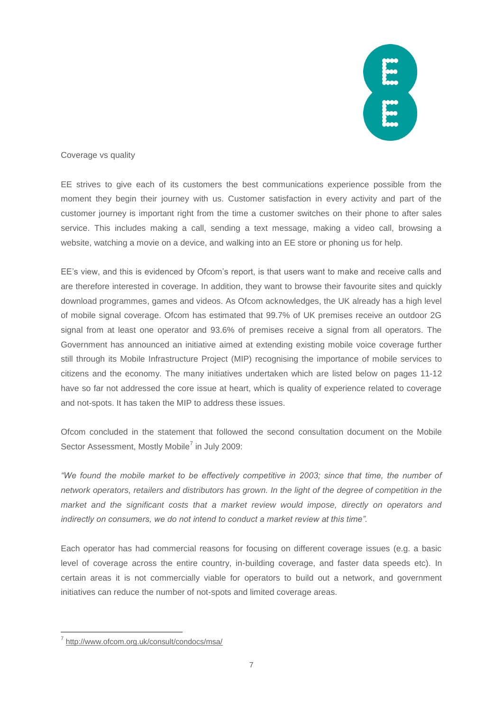

#### Coverage vs quality

EE strives to give each of its customers the best communications experience possible from the moment they begin their journey with us. Customer satisfaction in every activity and part of the customer journey is important right from the time a customer switches on their phone to after sales service. This includes making a call, sending a text message, making a video call, browsing a website, watching a movie on a device, and walking into an EE store or phoning us for help.

EE's view, and this is evidenced by Ofcom's report, is that users want to make and receive calls and are therefore interested in coverage. In addition, they want to browse their favourite sites and quickly download programmes, games and videos. As Ofcom acknowledges, the UK already has a high level of mobile signal coverage. Ofcom has estimated that 99.7% of UK premises receive an outdoor 2G signal from at least one operator and 93.6% of premises receive a signal from all operators. The Government has announced an initiative aimed at extending existing mobile voice coverage further still through its Mobile Infrastructure Project (MIP) recognising the importance of mobile services to citizens and the economy. The many initiatives undertaken which are listed below on pages 11-12 have so far not addressed the core issue at heart, which is quality of experience related to coverage and not-spots. It has taken the MIP to address these issues.

Ofcom concluded in the statement that followed the second consultation document on the Mobile Sector Assessment, Mostly Mobile<sup>7</sup> in July 2009:

*"We found the mobile market to be effectively competitive in 2003; since that time, the number of network operators, retailers and distributors has grown. In the light of the degree of competition in the market and the significant costs that a market review would impose, directly on operators and indirectly on consumers, we do not intend to conduct a market review at this time".* 

Each operator has had commercial reasons for focusing on different coverage issues (e.g. a basic level of coverage across the entire country, in-building coverage, and faster data speeds etc). In certain areas it is not commercially viable for operators to build out a network, and government initiatives can reduce the number of not-spots and limited coverage areas.

<sup>1</sup> 7 <http://www.ofcom.org.uk/consult/condocs/msa/>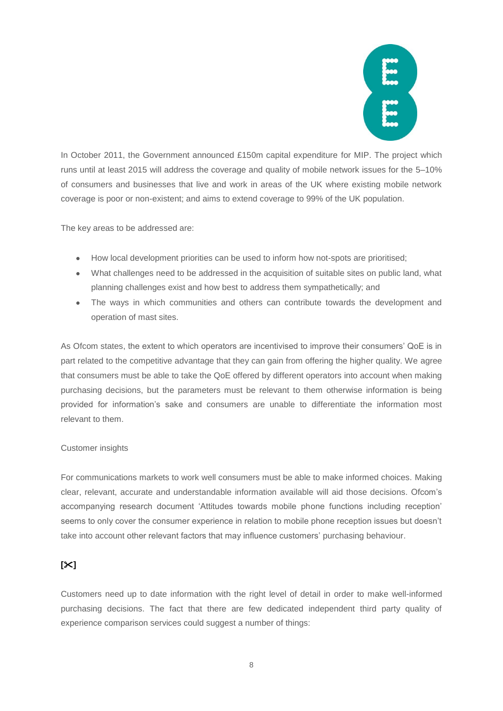

In October 2011, the Government announced £150m capital expenditure for MIP. The project which runs until at least 2015 will address the coverage and quality of mobile network issues for the 5–10% of consumers and businesses that live and work in areas of the UK where existing mobile network coverage is poor or non-existent; and aims to extend coverage to 99% of the UK population.

The key areas to be addressed are:

- How local development priorities can be used to inform how not-spots are prioritised;
- What challenges need to be addressed in the acquisition of suitable sites on public land, what planning challenges exist and how best to address them sympathetically; and
- The ways in which communities and others can contribute towards the development and operation of mast sites.

As Ofcom states, the extent to which operators are incentivised to improve their consumers' QoE is in part related to the competitive advantage that they can gain from offering the higher quality. We agree that consumers must be able to take the QoE offered by different operators into account when making purchasing decisions, but the parameters must be relevant to them otherwise information is being provided for information's sake and consumers are unable to differentiate the information most relevant to them.

#### Customer insights

For communications markets to work well consumers must be able to make informed choices. Making clear, relevant, accurate and understandable information available will aid those decisions. Ofcom's accompanying research document 'Attitudes towards mobile phone functions including reception' seems to only cover the consumer experience in relation to mobile phone reception issues but doesn't take into account other relevant factors that may influence customers' purchasing behaviour.

# **[]**

Customers need up to date information with the right level of detail in order to make well-informed purchasing decisions. The fact that there are few dedicated independent third party quality of experience comparison services could suggest a number of things: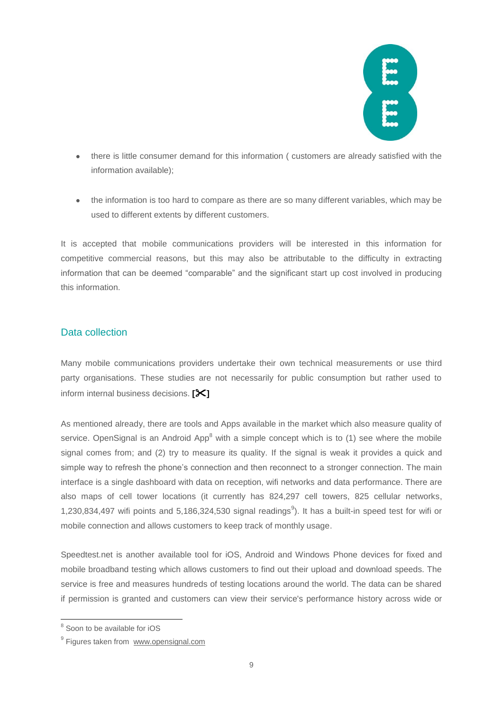

- there is little consumer demand for this information ( customers are already satisfied with the  $\bullet$ information available);
- the information is too hard to compare as there are so many different variables, which may be used to different extents by different customers.

It is accepted that mobile communications providers will be interested in this information for competitive commercial reasons, but this may also be attributable to the difficulty in extracting information that can be deemed "comparable" and the significant start up cost involved in producing this information.

# Data collection

Many mobile communications providers undertake their own technical measurements or use third party organisations. These studies are not necessarily for public consumption but rather used to inform internal business decisions. **[]**

As mentioned already, there are tools and Apps available in the market which also measure quality of service. OpenSignal is an Android App<sup>8</sup> with a simple concept which is to  $(1)$  see where the mobile signal comes from; and (2) try to measure its quality. If the signal is weak it provides a quick and simple way to refresh the phone's connection and then reconnect to a stronger connection. The main interface is a single dashboard with data on reception, wifi networks and data performance. There are also maps of cell tower locations (it currently has 824,297 cell towers, 825 cellular networks, 1,230,834,497 wifi points and 5,186,324,530 signal readings<sup>9</sup>). It has a built-in speed test for wifi or mobile connection and allows customers to keep track of monthly usage.

Speedtest.net is another available tool for iOS, Android and Windows Phone devices for fixed and mobile broadband testing which allows customers to find out their upload and download speeds. The service is free and measures hundreds of testing locations around the world. The data can be shared if permission is granted and customers can view their service's performance history across wide or

**<sup>8</sup>**<br><sup>8</sup> Soon to be available for iOS

<sup>&</sup>lt;sup>9</sup> Figures taken from www.opensignal.com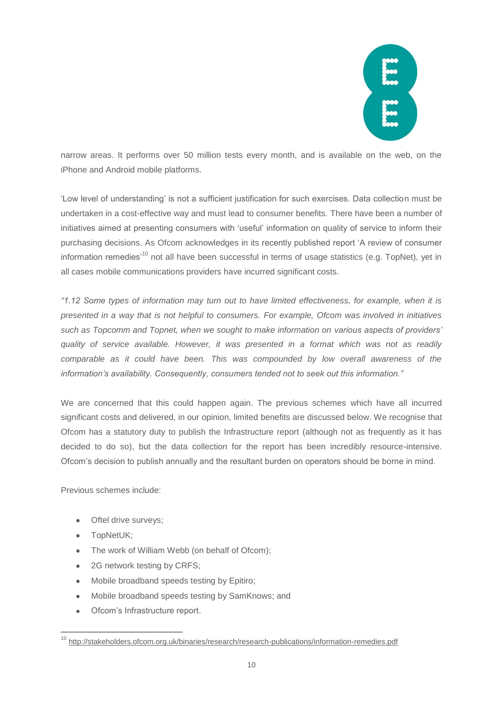

narrow areas. It performs over 50 million tests every month, and is available on the web, on the iPhone and Android mobile platforms.

'Low level of understanding' is not a sufficient justification for such exercises. Data collection must be undertaken in a cost-effective way and must lead to consumer benefits. There have been a number of initiatives aimed at presenting consumers with 'useful' information on quality of service to inform their purchasing decisions. As Ofcom acknowledges in its recently published report 'A review of consumer information remedies<sup>'10</sup> not all have been successful in terms of usage statistics (e.g. TopNet), yet in all cases mobile communications providers have incurred significant costs.

*"1.12 Some types of information may turn out to have limited effectiveness, for example, when it is presented in a way that is not helpful to consumers. For example, Ofcom was involved in initiatives such as Topcomm and Topnet, when we sought to make information on various aspects of providers' quality of service available. However, it was presented in a format which was not as readily comparable as it could have been. This was compounded by low overall awareness of the information's availability. Consequently, consumers tended not to seek out this information."* 

We are concerned that this could happen again. The previous schemes which have all incurred significant costs and delivered, in our opinion, limited benefits are discussed below. We recognise that Ofcom has a statutory duty to publish the Infrastructure report (although not as frequently as it has decided to do so), but the data collection for the report has been incredibly resource-intensive. Ofcom's decision to publish annually and the resultant burden on operators should be borne in mind.

Previous schemes include:

- Oftel drive surveys;
- TopNetUK;
- The work of William Webb (on behalf of Ofcom);
- 2G network testing by CRFS;  $\bullet$
- $\bullet$ Mobile broadband speeds testing by Epitiro;
- Mobile broadband speeds testing by SamKnows; and  $\bullet$
- Ofcom's Infrastructure report.  $\Delta$

<sup>1</sup> <sup>10</sup> <http://stakeholders.ofcom.org.uk/binaries/research/research-publications/information-remedies.pdf>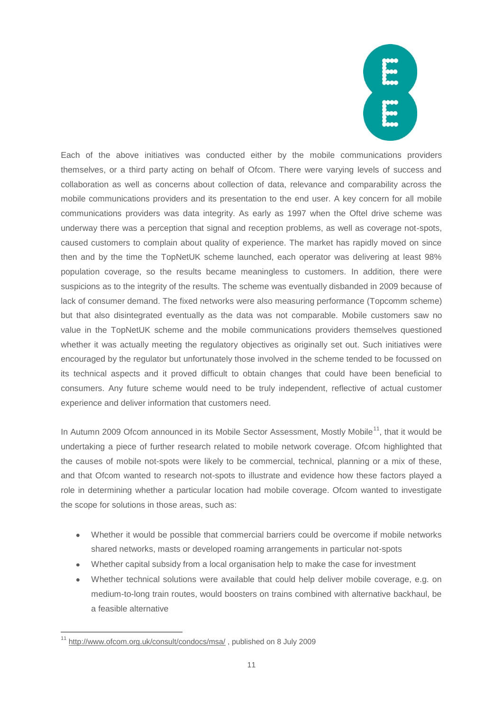Each of the above initiatives was conducted either by the mobile communications providers themselves, or a third party acting on behalf of Ofcom. There were varying levels of success and collaboration as well as concerns about collection of data, relevance and comparability across the mobile communications providers and its presentation to the end user. A key concern for all mobile communications providers was data integrity. As early as 1997 when the Oftel drive scheme was underway there was a perception that signal and reception problems, as well as coverage not-spots, caused customers to complain about quality of experience. The market has rapidly moved on since then and by the time the TopNetUK scheme launched, each operator was delivering at least 98% population coverage, so the results became meaningless to customers. In addition, there were suspicions as to the integrity of the results. The scheme was eventually disbanded in 2009 because of lack of consumer demand. The fixed networks were also measuring performance (Topcomm scheme) but that also disintegrated eventually as the data was not comparable. Mobile customers saw no value in the TopNetUK scheme and the mobile communications providers themselves questioned whether it was actually meeting the regulatory objectives as originally set out. Such initiatives were encouraged by the regulator but unfortunately those involved in the scheme tended to be focussed on its technical aspects and it proved difficult to obtain changes that could have been beneficial to consumers. Any future scheme would need to be truly independent, reflective of actual customer experience and deliver information that customers need.

In Autumn 2009 Ofcom announced in its Mobile Sector Assessment, Mostly Mobile<sup>11</sup>, that it would be undertaking a piece of further research related to mobile network coverage. Ofcom highlighted that the causes of mobile not-spots were likely to be commercial, technical, planning or a mix of these, and that Ofcom wanted to research not-spots to illustrate and evidence how these factors played a role in determining whether a particular location had mobile coverage. Ofcom wanted to investigate the scope for solutions in those areas, such as:

- Whether it would be possible that commercial barriers could be overcome if mobile networks shared networks, masts or developed roaming arrangements in particular not-spots
- Whether capital subsidy from a local organisation help to make the case for investment
- Whether technical solutions were available that could help deliver mobile coverage, e.g. on  $\bullet$ medium-to-long train routes, would boosters on trains combined with alternative backhaul, be a feasible alternative

<sup>1</sup> <sup>11</sup> <http://www.ofcom.org.uk/consult/condocs/msa/>, published on 8 July 2009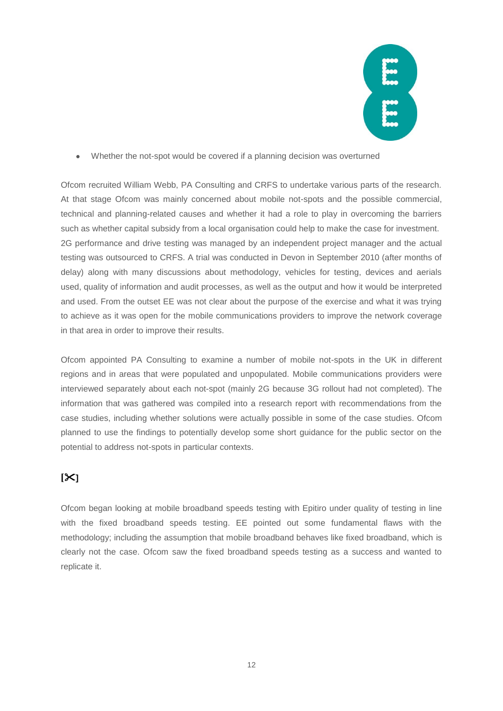

Whether the not-spot would be covered if a planning decision was overturned  $\bullet$ 

Ofcom recruited William Webb, PA Consulting and CRFS to undertake various parts of the research. At that stage Ofcom was mainly concerned about mobile not-spots and the possible commercial, technical and planning-related causes and whether it had a role to play in overcoming the barriers such as whether capital subsidy from a local organisation could help to make the case for investment. 2G performance and drive testing was managed by an independent project manager and the actual testing was outsourced to CRFS. A trial was conducted in Devon in September 2010 (after months of delay) along with many discussions about methodology, vehicles for testing, devices and aerials used, quality of information and audit processes, as well as the output and how it would be interpreted and used. From the outset EE was not clear about the purpose of the exercise and what it was trying to achieve as it was open for the mobile communications providers to improve the network coverage in that area in order to improve their results.

Ofcom appointed PA Consulting to examine a number of mobile not-spots in the UK in different regions and in areas that were populated and unpopulated. Mobile communications providers were interviewed separately about each not-spot (mainly 2G because 3G rollout had not completed). The information that was gathered was compiled into a research report with recommendations from the case studies, including whether solutions were actually possible in some of the case studies. Ofcom planned to use the findings to potentially develop some short guidance for the public sector on the potential to address not-spots in particular contexts.

# **[]**

Ofcom began looking at mobile broadband speeds testing with Epitiro under quality of testing in line with the fixed broadband speeds testing. EE pointed out some fundamental flaws with the methodology; including the assumption that mobile broadband behaves like fixed broadband, which is clearly not the case. Ofcom saw the fixed broadband speeds testing as a success and wanted to replicate it.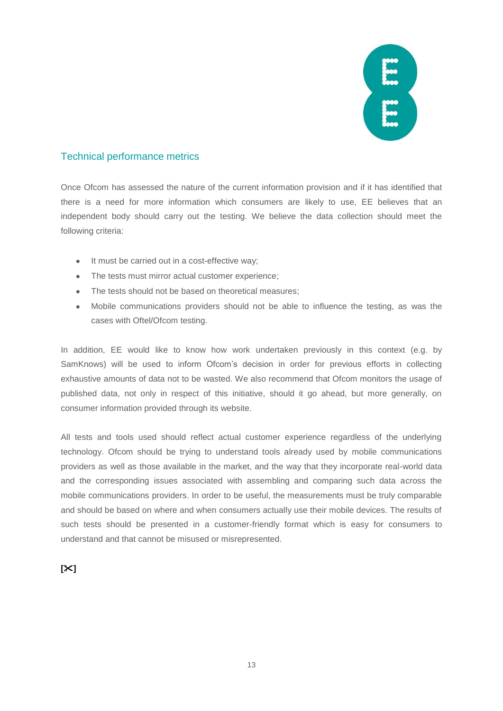

# Technical performance metrics

Once Ofcom has assessed the nature of the current information provision and if it has identified that there is a need for more information which consumers are likely to use, EE believes that an independent body should carry out the testing. We believe the data collection should meet the following criteria:

- It must be carried out in a cost-effective way;  $\bullet$
- The tests must mirror actual customer experience:
- The tests should not be based on theoretical measures;
- Mobile communications providers should not be able to influence the testing, as was the  $\bullet$ cases with Oftel/Ofcom testing.

In addition, EE would like to know how work undertaken previously in this context (e.g. by SamKnows) will be used to inform Ofcom's decision in order for previous efforts in collecting exhaustive amounts of data not to be wasted. We also recommend that Ofcom monitors the usage of published data, not only in respect of this initiative, should it go ahead, but more generally, on consumer information provided through its website.

All tests and tools used should reflect actual customer experience regardless of the underlying technology. Ofcom should be trying to understand tools already used by mobile communications providers as well as those available in the market, and the way that they incorporate real-world data and the corresponding issues associated with assembling and comparing such data across the mobile communications providers. In order to be useful, the measurements must be truly comparable and should be based on where and when consumers actually use their mobile devices. The results of such tests should be presented in a customer-friendly format which is easy for consumers to understand and that cannot be misused or misrepresented.

#### **[]**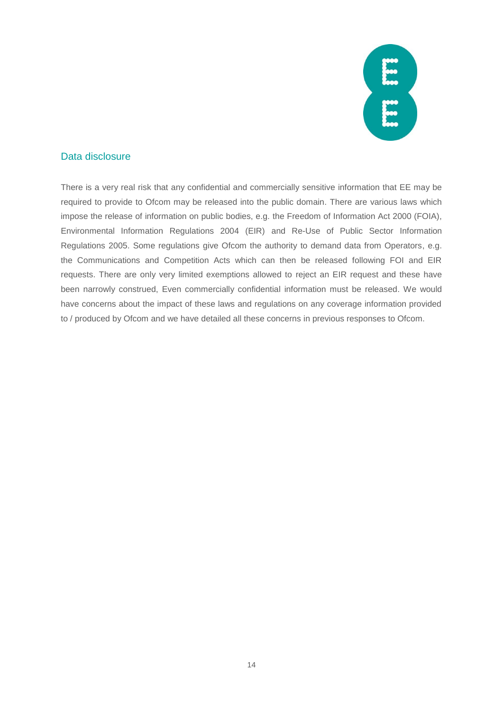

# Data disclosure

There is a very real risk that any confidential and commercially sensitive information that EE may be required to provide to Ofcom may be released into the public domain. There are various laws which impose the release of information on public bodies, e.g. the Freedom of Information Act 2000 (FOIA), Environmental Information Regulations 2004 (EIR) and Re-Use of Public Sector Information Regulations 2005. Some regulations give Ofcom the authority to demand data from Operators, e.g. the Communications and Competition Acts which can then be released following FOI and EIR requests. There are only very limited exemptions allowed to reject an EIR request and these have been narrowly construed, Even commercially confidential information must be released. We would have concerns about the impact of these laws and regulations on any coverage information provided to / produced by Ofcom and we have detailed all these concerns in previous responses to Ofcom.